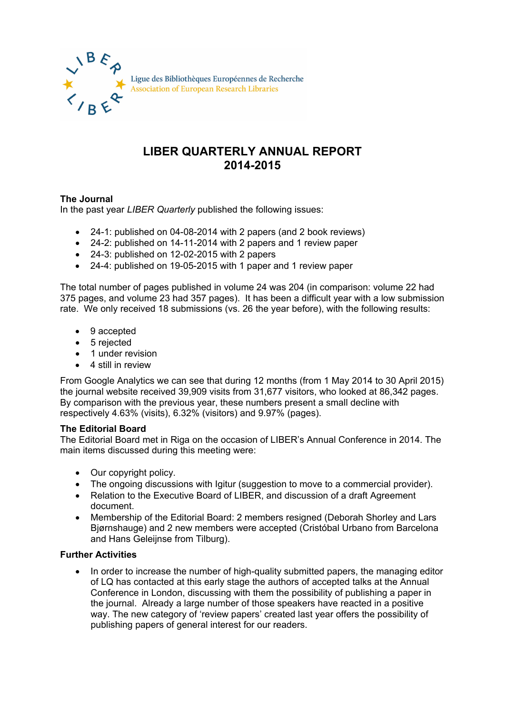

## **LIBER QUARTERLY ANNUAL REPORT 2014-2015**

## **The Journal**

In the past year *LIBER Quarterly* published the following issues:

- 24-1: published on 04-08-2014 with 2 papers (and 2 book reviews)
- 24-2: published on 14-11-2014 with 2 papers and 1 review paper
- 24-3: published on 12-02-2015 with 2 papers
- 24-4: published on 19-05-2015 with 1 paper and 1 review paper

The total number of pages published in volume 24 was 204 (in comparison: volume 22 had 375 pages, and volume 23 had 357 pages). It has been a difficult year with a low submission rate. We only received 18 submissions (vs. 26 the year before), with the following results:

- 9 accepted
- 5 rejected
- 1 under revision
- 4 still in review

From Google Analytics we can see that during 12 months (from 1 May 2014 to 30 April 2015) the journal website received 39,909 visits from 31,677 visitors, who looked at 86,342 pages. By comparison with the previous year, these numbers present a small decline with respectively 4.63% (visits), 6.32% (visitors) and 9.97% (pages).

## **The Editorial Board**

The Editorial Board met in Riga on the occasion of LIBER's Annual Conference in 2014. The main items discussed during this meeting were:

- Our copyright policy.
- The ongoing discussions with Igitur (suggestion to move to a commercial provider).
- Relation to the Executive Board of LIBER, and discussion of a draft Agreement document.
- Membership of the Editorial Board: 2 members resigned (Deborah Shorley and Lars Bjørnshauge) and 2 new members were accepted (Cristóbal Urbano from Barcelona and Hans Geleijnse from Tilburg).

## **Further Activities**

• In order to increase the number of high-quality submitted papers, the managing editor of LQ has contacted at this early stage the authors of accepted talks at the Annual Conference in London, discussing with them the possibility of publishing a paper in the journal. Already a large number of those speakers have reacted in a positive way. The new category of 'review papers' created last year offers the possibility of publishing papers of general interest for our readers.